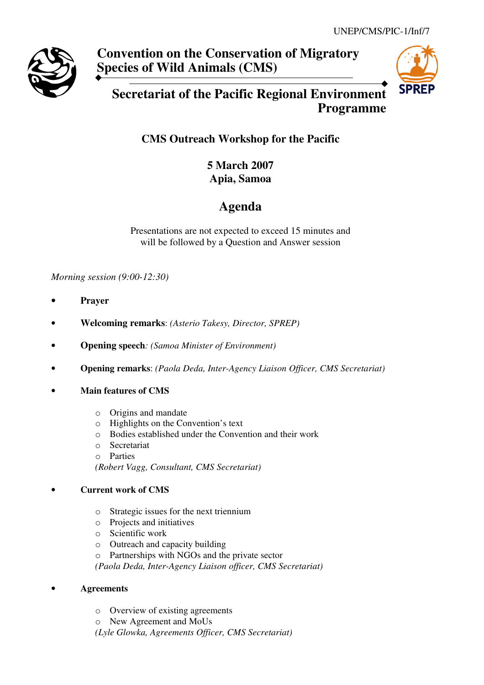

# **Convention on the Conservation of Migratory Species of Wild Animals (CMS)**



# **Secretariat of the Pacific Regional Environment Programme**

## **CMS Outreach Workshop for the Pacific**

**5 March 2007 Apia, Samoa** 

# **Agenda**

Presentations are not expected to exceed 15 minutes and will be followed by a Question and Answer session

*Morning session (9:00-12:30)* 

- **Prayer**
- **Welcoming remarks**: *(Asterio Takesy, Director, SPREP)*
- **Opening speech***: (Samoa Minister of Environment)*
- **Opening remarks**: *(Paola Deda, Inter-Agency Liaison Officer, CMS Secretariat)*
- **Main features of CMS** 
	- o Origins and mandate
	- o Highlights on the Convention's text
	- o Bodies established under the Convention and their work
	- o Secretariat
	- o Parties

*(Robert Vagg, Consultant, CMS Secretariat)*

## • **Current work of CMS**

- o Strategic issues for the next triennium
- o Projects and initiatives
- o Scientific work
- o Outreach and capacity building
- o Partnerships with NGOs and the private sector

*(Paola Deda, Inter-Agency Liaison officer, CMS Secretariat)* 

## • **Agreements**

- o Overview of existing agreements
- o New Agreement and MoUs
- *(Lyle Glowka, Agreements Officer, CMS Secretariat)*